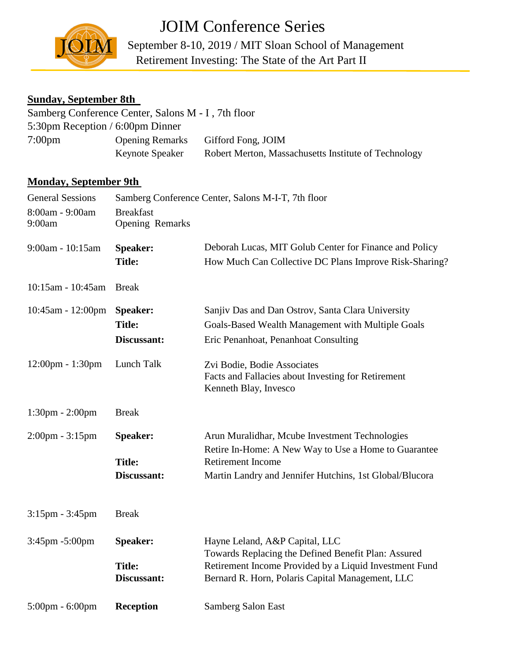

**TOIM**September 8-10, 2019 / MIT Sloan School of Management JOIM Conference Series Retirement Investing: The State of the Art Part II

## **Sunday, September 8th**

|                  | Samberg Conference Center, Salons M - I, 7th floor |                                                      |
|------------------|----------------------------------------------------|------------------------------------------------------|
|                  | 5:30pm Reception / 6:00pm Dinner                   |                                                      |
| $7:00 \text{pm}$ | <b>Opening Remarks</b>                             | Gifford Fong, JOIM                                   |
|                  | <b>Keynote Speaker</b>                             | Robert Merton, Massachusetts Institute of Technology |

## **Monday, September 9th**

| <b>General Sessions</b>           | Samberg Conference Center, Salons M-I-T, 7th floor |                                                                                                                                                                                                     |
|-----------------------------------|----------------------------------------------------|-----------------------------------------------------------------------------------------------------------------------------------------------------------------------------------------------------|
| 8:00am - 9:00am<br>9:00am         | <b>Breakfast</b><br><b>Opening Remarks</b>         |                                                                                                                                                                                                     |
| 9:00am - 10:15am                  | <b>Speaker:</b><br><b>Title:</b>                   | Deborah Lucas, MIT Golub Center for Finance and Policy<br>How Much Can Collective DC Plans Improve Risk-Sharing?                                                                                    |
| 10:15am - 10:45am                 | <b>Break</b>                                       |                                                                                                                                                                                                     |
| $10:45$ am - $12:00$ pm           | <b>Speaker:</b><br><b>Title:</b><br>Discussant:    | Sanjiv Das and Dan Ostrov, Santa Clara University<br>Goals-Based Wealth Management with Multiple Goals<br>Eric Penanhoat, Penanhoat Consulting                                                      |
| 12:00pm - 1:30pm                  | Lunch Talk                                         | Zvi Bodie, Bodie Associates<br>Facts and Fallacies about Investing for Retirement<br>Kenneth Blay, Invesco                                                                                          |
| 1:30pm - 2:00pm                   | <b>Break</b>                                       |                                                                                                                                                                                                     |
| 2:00pm - 3:15pm                   | <b>Speaker:</b><br><b>Title:</b><br>Discussant:    | Arun Muralidhar, Mcube Investment Technologies<br>Retire In-Home: A New Way to Use a Home to Guarantee<br><b>Retirement Income</b><br>Martin Landry and Jennifer Hutchins, 1st Global/Blucora       |
| $3:15$ pm - $3:45$ pm             | <b>Break</b>                                       |                                                                                                                                                                                                     |
| 3:45pm -5:00pm                    | <b>Speaker:</b><br><b>Title:</b><br>Discussant:    | Hayne Leland, A&P Capital, LLC<br>Towards Replacing the Defined Benefit Plan: Assured<br>Retirement Income Provided by a Liquid Investment Fund<br>Bernard R. Horn, Polaris Capital Management, LLC |
| $5:00 \text{pm} - 6:00 \text{pm}$ | <b>Reception</b>                                   | Samberg Salon East                                                                                                                                                                                  |